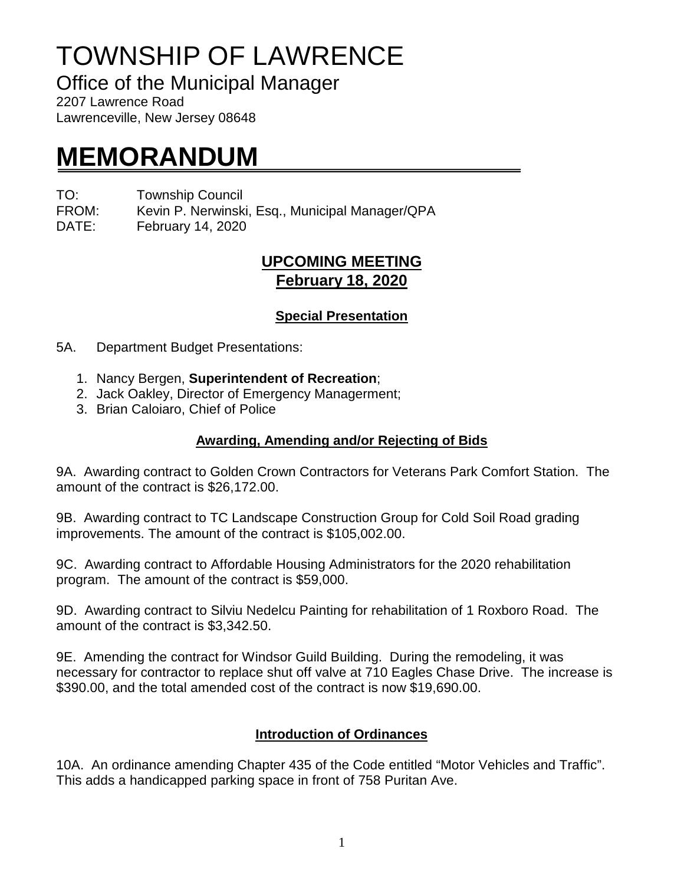# TOWNSHIP OF LAWRENCE

Office of the Municipal Manager

2207 Lawrence Road Lawrenceville, New Jersey 08648

## **MEMORANDUM**

TO: Township Council

FROM: Kevin P. Nerwinski, Esq., Municipal Manager/QPA

DATE: February 14, 2020

## **UPCOMING MEETING February 18, 2020**

#### **Special Presentation**

5A. Department Budget Presentations:

- 1. Nancy Bergen, **Superintendent of Recreation**;
- 2. Jack Oakley, Director of Emergency Managerment;
- 3. Brian Caloiaro, Chief of Police

### **Awarding, Amending and/or Rejecting of Bids**

9A. Awarding contract to Golden Crown Contractors for Veterans Park Comfort Station. The amount of the contract is \$26,172.00.

9B. Awarding contract to TC Landscape Construction Group for Cold Soil Road grading improvements. The amount of the contract is \$105,002.00.

9C. Awarding contract to Affordable Housing Administrators for the 2020 rehabilitation program. The amount of the contract is \$59,000.

9D. Awarding contract to Silviu Nedelcu Painting for rehabilitation of 1 Roxboro Road. The amount of the contract is \$3,342.50.

9E. Amending the contract for Windsor Guild Building. During the remodeling, it was necessary for contractor to replace shut off valve at 710 Eagles Chase Drive. The increase is \$390.00, and the total amended cost of the contract is now \$19,690.00.

#### **Introduction of Ordinances**

10A. An ordinance amending Chapter 435 of the Code entitled "Motor Vehicles and Traffic". This adds a handicapped parking space in front of 758 Puritan Ave.